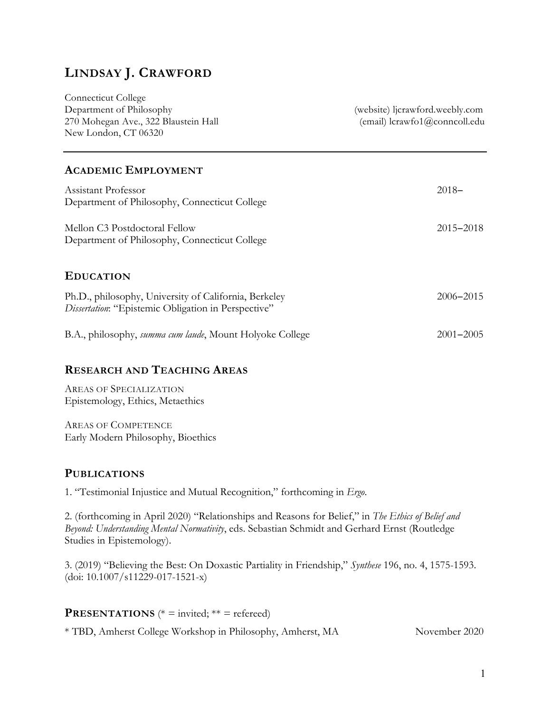# **LINDSAY J. CRAWFORD**

| <b>Connecticut College</b>           |                                 |
|--------------------------------------|---------------------------------|
| Department of Philosophy             | (website) licrawford.weebly.com |
| 270 Mohegan Ave., 322 Blaustein Hall | (email) lcrawfo1@conncoll.edu   |
| New London, CT 06320                 |                                 |
|                                      |                                 |

### **ACADEMIC EMPLOYMENT**

| Assistant Professor<br>Department of Philosophy, Connecticut College                                         | $2018 -$      |
|--------------------------------------------------------------------------------------------------------------|---------------|
| Mellon C3 Postdoctoral Fellow<br>Department of Philosophy, Connecticut College                               | $2015 - 2018$ |
| <b>EDUCATION</b>                                                                                             |               |
| Ph.D., philosophy, University of California, Berkeley<br>Dissertation: "Epistemic Obligation in Perspective" | $2006 - 2015$ |
| B.A., philosophy, <i>summa cum laude</i> , Mount Holyoke College                                             | $2001 - 2005$ |

# **RESEARCH AND TEACHING AREAS**

AREAS OF SPECIALIZATION Epistemology, Ethics, Metaethics

AREAS OF COMPETENCE Early Modern Philosophy, Bioethics

## **PUBLICATIONS**

1. "Testimonial Injustice and Mutual Recognition," forthcoming in *Ergo*.

2. (forthcoming in April 2020) "Relationships and Reasons for Belief," in *The Ethics of Belief and Beyond: Understanding Mental Normativity*, eds. Sebastian Schmidt and Gerhard Ernst (Routledge Studies in Epistemology).

3. (2019) "Believing the Best: On Doxastic Partiality in Friendship," *Synthese* 196, no. 4, 1575-1593. (doi: 10.1007/s11229-017-1521-x)

| <b>PRESENTATIONS</b> (* = invited; ** = refereed) |  |
|---------------------------------------------------|--|
|---------------------------------------------------|--|

\* TBD, Amherst College Workshop in Philosophy, Amherst, MA November 2020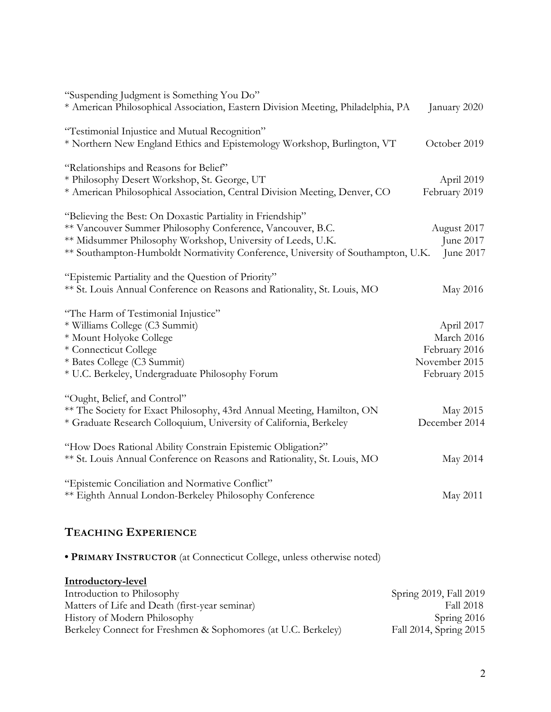| "Suspending Judgment is Something You Do"                                        |               |
|----------------------------------------------------------------------------------|---------------|
| * American Philosophical Association, Eastern Division Meeting, Philadelphia, PA | January 2020  |
| "Testimonial Injustice and Mutual Recognition"                                   |               |
| * Northern New England Ethics and Epistemology Workshop, Burlington, VT          | October 2019  |
| "Relationships and Reasons for Belief"                                           |               |
| * Philosophy Desert Workshop, St. George, UT                                     | April 2019    |
| * American Philosophical Association, Central Division Meeting, Denver, CO       | February 2019 |
| "Believing the Best: On Doxastic Partiality in Friendship"                       |               |
| ** Vancouver Summer Philosophy Conference, Vancouver, B.C.                       | August 2017   |
| ** Midsummer Philosophy Workshop, University of Leeds, U.K.                      | June 2017     |
| ** Southampton-Humboldt Normativity Conference, University of Southampton, U.K.  | June 2017     |
| "Epistemic Partiality and the Question of Priority"                              |               |
| ** St. Louis Annual Conference on Reasons and Rationality, St. Louis, MO         | May 2016      |
| "The Harm of Testimonial Injustice"                                              |               |
| * Williams College (C3 Summit)                                                   | April 2017    |
| * Mount Holyoke College                                                          | March 2016    |
| * Connecticut College                                                            | February 2016 |
| * Bates College (C3 Summit)                                                      | November 2015 |
| * U.C. Berkeley, Undergraduate Philosophy Forum                                  | February 2015 |
| "Ought, Belief, and Control"                                                     |               |
| ** The Society for Exact Philosophy, 43rd Annual Meeting, Hamilton, ON           | May 2015      |
| * Graduate Research Colloquium, University of California, Berkeley               | December 2014 |
| "How Does Rational Ability Constrain Epistemic Obligation?"                      |               |
| ** St. Louis Annual Conference on Reasons and Rationality, St. Louis, MO         | May 2014      |
| "Epistemic Conciliation and Normative Conflict"                                  |               |
| ** Eighth Annual London-Berkeley Philosophy Conference                           | May 2011      |

# **TEACHING EXPERIENCE**

**• PRIMARY INSTRUCTOR** (at Connecticut College, unless otherwise noted)

| Introductory-level                                            |                        |
|---------------------------------------------------------------|------------------------|
| Introduction to Philosophy                                    | Spring 2019, Fall 2019 |
| Matters of Life and Death (first-year seminar)                | Fall 2018              |
| History of Modern Philosophy                                  | Spring 2016            |
| Berkeley Connect for Freshmen & Sophomores (at U.C. Berkeley) | Fall 2014, Spring 2015 |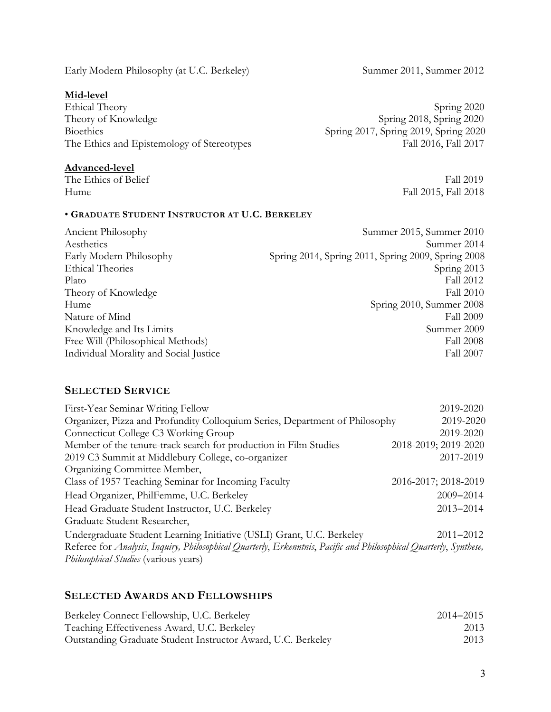Early Modern Philosophy (at U.C. Berkeley) Summer 2011, Summer 2012

#### **Mid-level**

Ethical Theory Spring 2020 Theory of Knowledge Spring 2018, Spring 2020 Bioethics Spring 2017, Spring 2019, Spring 2020 The Ethics and Epistemology of Stereotypes Fall 2016, Fall 2017

#### **Advanced-level**

The Ethics of Belief Fall 2019 Hume Fall 2015, Fall 2018

# • **GRADUATE STUDENT INSTRUCTOR AT U.C. BERKELEY**

Ancient Philosophy Summer 2015, Summer 2010 Aesthetics Summer 2014 Early Modern Philosophy Spring 2014, Spring 2011, Spring 2009, Spring 2008 Ethical Theories Spring 2013 Plato Fall 2012 Theory of Knowledge Fall 2010 Hume Spring 2010, Summer 2008 Nature of Mind Fall 2009 Knowledge and Its Limits Summer 2009 Free Will (Philosophical Methods) Fall 2008 Individual Morality and Social Justice Fall 2007

#### **SELECTED SERVICE**

| First-Year Seminar Writing Fellow                                                                                                                                  | 2019-2020            |
|--------------------------------------------------------------------------------------------------------------------------------------------------------------------|----------------------|
| Organizer, Pizza and Profundity Colloquium Series, Department of Philosophy                                                                                        | 2019-2020            |
| Connecticut College C3 Working Group                                                                                                                               | 2019-2020            |
| Member of the tenure-track search for production in Film Studies                                                                                                   | 2018-2019; 2019-2020 |
| 2019 C3 Summit at Middlebury College, co-organizer                                                                                                                 | 2017-2019            |
| Organizing Committee Member,                                                                                                                                       |                      |
| Class of 1957 Teaching Seminar for Incoming Faculty                                                                                                                | 2016-2017; 2018-2019 |
| Head Organizer, PhilFemme, U.C. Berkeley                                                                                                                           | $2009 - 2014$        |
| Head Graduate Student Instructor, U.C. Berkeley                                                                                                                    | $2013 - 2014$        |
| Graduate Student Researcher,                                                                                                                                       |                      |
| Undergraduate Student Learning Initiative (USLI) Grant, U.C. Berkeley                                                                                              | $2011 - 2012$        |
| Referee for Analysis, Inquiry, Philosophical Quarterly, Erkenntnis, Pacific and Philosophical Quarterly, Synthese,<br><i>Philosophical Studies</i> (various years) |                      |

## **SELECTED AWARDS AND FELLOWSHIPS**

| Berkeley Connect Fellowship, U.C. Berkeley                   | $2014 - 2015$ |
|--------------------------------------------------------------|---------------|
| Teaching Effectiveness Award, U.C. Berkeley                  | 2013          |
| Outstanding Graduate Student Instructor Award, U.C. Berkeley | 2013          |